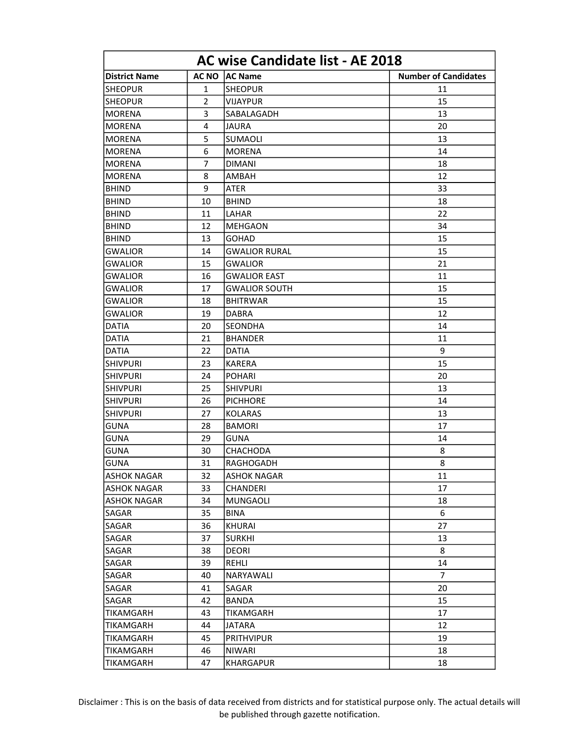| <b>AC wise Candidate list - AE 2018</b> |                |                      |                             |
|-----------------------------------------|----------------|----------------------|-----------------------------|
| <b>District Name</b>                    | <b>AC NO</b>   | <b>AC Name</b>       | <b>Number of Candidates</b> |
| <b>SHEOPUR</b>                          | $\mathbf{1}$   | <b>SHEOPUR</b>       | 11                          |
| <b>SHEOPUR</b>                          | $\overline{2}$ | <b>VIJAYPUR</b>      | 15                          |
| MORENA                                  | 3              | SABALAGADH           | 13                          |
| MORENA                                  | 4              | JAURA                | 20                          |
| <b>MORENA</b>                           | 5              | SUMAOLI              | 13                          |
| MORENA                                  | 6              | MORENA               | 14                          |
| <b>MORENA</b>                           | 7              | <b>DIMANI</b>        | 18                          |
| MORENA                                  | 8              | AMBAH                | 12                          |
| <b>BHIND</b>                            | 9              | ATER                 | 33                          |
| <b>BHIND</b>                            | 10             | <b>BHIND</b>         | 18                          |
| <b>BHIND</b>                            | 11             | LAHAR                | 22                          |
| <b>BHIND</b>                            | 12             | MEHGAON              | 34                          |
| <b>BHIND</b>                            | 13             | <b>GOHAD</b>         | 15                          |
| <b>GWALIOR</b>                          | 14             | <b>GWALIOR RURAL</b> | 15                          |
| <b>GWALIOR</b>                          | 15             | <b>GWALIOR</b>       | 21                          |
| <b>GWALIOR</b>                          | 16             | <b>GWALIOR EAST</b>  | 11                          |
| <b>GWALIOR</b>                          | 17             | <b>GWALIOR SOUTH</b> | 15                          |
| GWALIOR                                 | 18             | <b>BHITRWAR</b>      | 15                          |
| GWALIOR                                 | 19             | <b>DABRA</b>         | 12                          |
| DATIA                                   | 20             | <b>SEONDHA</b>       | 14                          |
| <b>DATIA</b>                            | 21             | <b>BHANDER</b>       | 11                          |
| <b>DATIA</b>                            | 22             | <b>DATIA</b>         | 9                           |
| <b>SHIVPURI</b>                         | 23             | <b>KARERA</b>        | 15                          |
| <b>SHIVPURI</b>                         | 24             | <b>POHARI</b>        | 20                          |
| <b>SHIVPURI</b>                         | 25             | <b>SHIVPURI</b>      | 13                          |
| <b>SHIVPURI</b>                         | 26             | <b>PICHHORE</b>      | 14                          |
| SHIVPURI                                | 27             | <b>KOLARAS</b>       | 13                          |
| <b>GUNA</b>                             | 28             | <b>BAMORI</b>        | 17                          |
| <b>GUNA</b>                             | 29             | <b>GUNA</b>          | 14                          |
| <b>GUNA</b>                             | 30             | <b>CHACHODA</b>      | 8                           |
| <b>GUNA</b>                             | 31             | RAGHOGADH            | 8                           |
| <b>ASHOK NAGAR</b>                      | 32             | <b>ASHOK NAGAR</b>   | 11                          |
| <b>ASHOK NAGAR</b>                      | 33             | <b>CHANDERI</b>      | 17                          |
| <b>ASHOK NAGAR</b>                      | 34             | <b>MUNGAOLI</b>      | 18                          |
| <b>SAGAR</b>                            | 35             | <b>BINA</b>          | 6                           |
| SAGAR                                   | 36             | <b>KHURAI</b>        | 27                          |
| SAGAR                                   | 37             | <b>SURKHI</b>        | 13                          |
| SAGAR                                   | 38             | DEORI                | 8                           |
| SAGAR                                   | 39             | REHLI                | 14                          |
| SAGAR                                   | 40             | <b>NARYAWALI</b>     | 7                           |
| SAGAR                                   | 41             | SAGAR                | 20                          |
| SAGAR                                   | 42             | <b>BANDA</b>         | 15                          |
| TIKAMGARH                               | 43             | TIKAMGARH            | 17                          |
| TIKAMGARH                               | 44             | JATARA               | 12                          |
| TIKAMGARH                               | 45             | <b>PRITHVIPUR</b>    | 19                          |
| TIKAMGARH                               | 46             | <b>NIWARI</b>        | 18                          |
| TIKAMGARH                               | 47             | <b>KHARGAPUR</b>     | 18                          |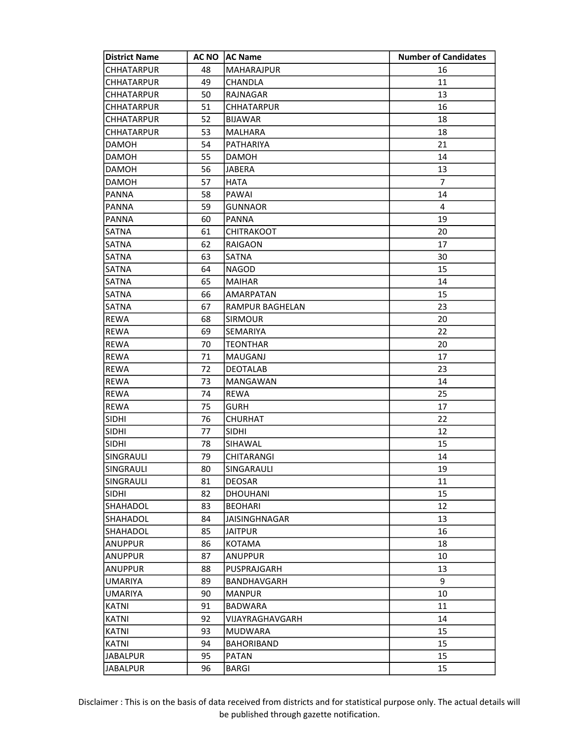| <b>District Name</b> | AC NO | <b>AC Name</b>       | <b>Number of Candidates</b> |
|----------------------|-------|----------------------|-----------------------------|
| <b>CHHATARPUR</b>    | 48    | <b>MAHARAJPUR</b>    | 16                          |
| <b>CHHATARPUR</b>    | 49    | CHANDLA              | 11                          |
| <b>CHHATARPUR</b>    | 50    | RAJNAGAR             | 13                          |
| CHHATARPUR           | 51    | <b>CHHATARPUR</b>    | 16                          |
| <b>CHHATARPUR</b>    | 52    | <b>BIJAWAR</b>       | 18                          |
| CHHATARPUR           | 53    | <b>MALHARA</b>       | 18                          |
| <b>DAMOH</b>         | 54    | PATHARIYA            | 21                          |
| <b>DAMOH</b>         | 55    | <b>DAMOH</b>         | 14                          |
| <b>DAMOH</b>         | 56    | <b>JABERA</b>        | 13                          |
| <b>DAMOH</b>         | 57    | <b>HATA</b>          | $\overline{7}$              |
| <b>PANNA</b>         | 58    | PAWAI                | 14                          |
| <b>PANNA</b>         | 59    | <b>GUNNAOR</b>       | 4                           |
| <b>PANNA</b>         | 60    | <b>PANNA</b>         | 19                          |
| SATNA                | 61    | <b>CHITRAKOOT</b>    | 20                          |
| SATNA                | 62    | <b>RAIGAON</b>       | 17                          |
| <b>SATNA</b>         | 63    | SATNA                | 30                          |
| <b>SATNA</b>         | 64    | <b>NAGOD</b>         | 15                          |
| <b>SATNA</b>         | 65    | <b>MAIHAR</b>        | 14                          |
| SATNA                | 66    | <b>AMARPATAN</b>     | 15                          |
| <b>SATNA</b>         | 67    | RAMPUR BAGHELAN      | 23                          |
| <b>REWA</b>          | 68    | <b>SIRMOUR</b>       | 20                          |
| <b>REWA</b>          | 69    | SEMARIYA             | 22                          |
| <b>REWA</b>          | 70    | <b>TEONTHAR</b>      | 20                          |
| <b>REWA</b>          | 71    | <b>MAUGANJ</b>       | 17                          |
| <b>REWA</b>          | 72    | <b>DEOTALAB</b>      | 23                          |
| <b>REWA</b>          | 73    | <b>MANGAWAN</b>      | 14                          |
| <b>REWA</b>          | 74    | <b>REWA</b>          | 25                          |
| <b>REWA</b>          | 75    | <b>GURH</b>          | 17                          |
| <b>SIDHI</b>         | 76    | <b>CHURHAT</b>       | 22                          |
| <b>SIDHI</b>         | 77    | <b>SIDHI</b>         | 12                          |
| <b>SIDHI</b>         | 78    | SIHAWAL              | 15                          |
| SINGRAULI            | 79    | CHITARANGI           | 14                          |
| SINGRAULI            | 80    | SINGARAULI           | 19                          |
| SINGRAULI            | 81    | <b>DEOSAR</b>        | 11                          |
| <b>SIDHI</b>         | 82    | <b>DHOUHANI</b>      | 15                          |
| SHAHADOL             | 83    | <b>BEOHARI</b>       | 12                          |
| SHAHADOL             | 84    | <b>JAISINGHNAGAR</b> | 13                          |
| SHAHADOL             | 85    | <b>JAITPUR</b>       | 16                          |
| <b>ANUPPUR</b>       | 86    | <b>KOTAMA</b>        | 18                          |
| <b>ANUPPUR</b>       | 87    | <b>ANUPPUR</b>       | 10                          |
| <b>ANUPPUR</b>       | 88    | PUSPRAJGARH          | 13                          |
| <b>UMARIYA</b>       | 89    | <b>BANDHAVGARH</b>   | 9                           |
| <b>UMARIYA</b>       | 90    | <b>MANPUR</b>        | 10                          |
| <b>KATNI</b>         | 91    | <b>BADWARA</b>       | 11                          |
| <b>KATNI</b>         | 92    | VIJAYRAGHAVGARH      | 14                          |
| <b>KATNI</b>         | 93    | <b>MUDWARA</b>       | 15                          |
| <b>KATNI</b>         | 94    | <b>BAHORIBAND</b>    | 15                          |
| <b>JABALPUR</b>      | 95    | <b>PATAN</b>         | 15                          |
| <b>JABALPUR</b>      | 96    | <b>BARGI</b>         | 15                          |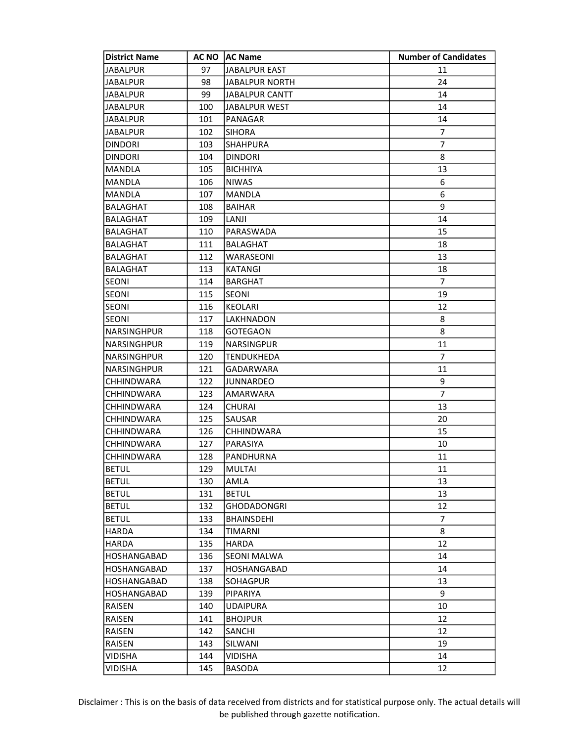| <b>District Name</b> | <b>AC NO</b> | <b>AC Name</b>        | <b>Number of Candidates</b> |
|----------------------|--------------|-----------------------|-----------------------------|
| <b>JABALPUR</b>      | 97           | <b>JABALPUR EAST</b>  | 11                          |
| <b>JABALPUR</b>      | 98           | <b>JABALPUR NORTH</b> | 24                          |
| <b>JABALPUR</b>      | 99           | JABALPUR CANTT        | 14                          |
| JABALPUR             | 100          | JABALPUR WEST         | 14                          |
| <b>JABALPUR</b>      | 101          | PANAGAR               | 14                          |
| <b>JABALPUR</b>      | 102          | <b>SIHORA</b>         | 7                           |
| <b>DINDORI</b>       | 103          | <b>SHAHPURA</b>       | $\overline{7}$              |
| <b>DINDORI</b>       | 104          | <b>DINDORI</b>        | 8                           |
| MANDLA               | 105          | <b>BICHHIYA</b>       | 13                          |
| MANDLA               | 106          | <b>NIWAS</b>          | 6                           |
| MANDLA               | 107          | <b>MANDLA</b>         | 6                           |
| BALAGHAT             | 108          | <b>BAIHAR</b>         | 9                           |
| BALAGHAT             | 109          | LANJI                 | 14                          |
| BALAGHAT             | 110          | PARASWADA             | 15                          |
| BALAGHAT             | 111          | <b>BALAGHAT</b>       | 18                          |
| <b>BALAGHAT</b>      | 112          | WARASEONI             | 13                          |
| BALAGHAT             | 113          | <b>KATANGI</b>        | 18                          |
| <b>SEONI</b>         | 114          | <b>BARGHAT</b>        | 7                           |
| <b>SEONI</b>         | 115          | <b>SEONI</b>          | 19                          |
| <b>SEONI</b>         | 116          | <b>KEOLARI</b>        | 12                          |
| <b>SEONI</b>         | 117          | LAKHNADON             | 8                           |
| NARSINGHPUR          | 118          | GOTEGAON              | 8                           |
| NARSINGHPUR          | 119          | <b>NARSINGPUR</b>     | 11                          |
| NARSINGHPUR          | 120          | <b>TENDUKHEDA</b>     | $\overline{7}$              |
| <b>NARSINGHPUR</b>   | 121          | <b>GADARWARA</b>      | 11                          |
| CHHINDWARA           | 122          | <b>JUNNARDEO</b>      | 9                           |
| CHHINDWARA           | 123          | AMARWARA              | $\overline{7}$              |
| CHHINDWARA           | 124          | CHURAI                | 13                          |
| CHHINDWARA           | 125          | SAUSAR                | 20                          |
| CHHINDWARA           | 126          | <b>CHHINDWARA</b>     | 15                          |
| CHHINDWARA           | 127          | PARASIYA              | 10                          |
| CHHINDWARA           | 128          | PANDHURNA             | 11                          |
| <b>BETUL</b>         | 129          | MULTAI                | 11                          |
| <b>BETUL</b>         | 130          | AMLA                  | 13                          |
| <b>BETUL</b>         | 131          | <b>BETUL</b>          | 13                          |
| <b>BETUL</b>         | 132          | GHODADONGRI           | 12                          |
| <b>BETUL</b>         | 133          | <b>BHAINSDEHI</b>     | 7                           |
| HARDA                | 134          | TIMARNI               | 8                           |
| <b>HARDA</b>         | 135          | <b>HARDA</b>          | 12                          |
| HOSHANGABAD          | 136          | <b>SEONI MALWA</b>    | 14                          |
| <b>HOSHANGABAD</b>   | 137          | <b>HOSHANGABAD</b>    | 14                          |
| <b>HOSHANGABAD</b>   | 138          | SOHAGPUR              | 13                          |
| HOSHANGABAD          | 139          | PIPARIYA              | 9                           |
| RAISEN               | 140          | <b>UDAIPURA</b>       | 10                          |
| RAISEN               | 141          | <b>BHOJPUR</b>        | 12                          |
| RAISEN               | 142          | SANCHI                | 12                          |
| RAISEN               | 143          | SILWANI               | 19                          |
| VIDISHA              | 144          | VIDISHA               | 14                          |
| VIDISHA              | 145          | <b>BASODA</b>         | 12                          |
|                      |              |                       |                             |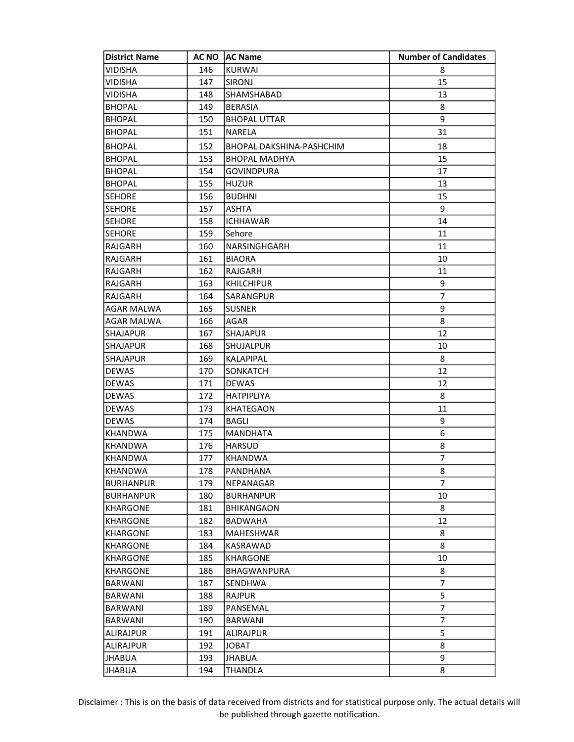| <b>District Name</b> | <b>AC NO</b> | <b>AC Name</b>                  | <b>Number of Candidates</b> |
|----------------------|--------------|---------------------------------|-----------------------------|
| VIDISHA              | 146          | <b>KURWAI</b>                   | 8                           |
| VIDISHA              | 147          | SIRONJ                          | 15                          |
| VIDISHA              | 148          | SHAMSHABAD                      | 13                          |
| <b>BHOPAL</b>        | 149          | <b>BERASIA</b>                  | 8                           |
| <b>BHOPAL</b>        | 150          | <b>BHOPAL UTTAR</b>             | 9                           |
| <b>BHOPAL</b>        | 151          | <b>NARELA</b>                   | 31                          |
| <b>BHOPAL</b>        | 152          | <b>BHOPAL DAKSHINA-PASHCHIM</b> | 18                          |
| <b>BHOPAL</b>        | 153          | <b>BHOPAL MADHYA</b>            | 15                          |
| <b>BHOPAL</b>        | 154          | <b>GOVINDPURA</b>               | 17                          |
| <b>BHOPAL</b>        | 155          | <b>HUZUR</b>                    | 13                          |
| <b>SEHORE</b>        | 156          | <b>BUDHNI</b>                   | 15                          |
| <b>SEHORE</b>        | 157          | <b>ASHTA</b>                    | 9                           |
| <b>SEHORE</b>        | 158          | <b>ICHHAWAR</b>                 | 14                          |
| <b>SEHORE</b>        | 159          | Sehore                          | 11                          |
| RAJGARH              | 160          | NARSINGHGARH                    | 11                          |
| RAJGARH              | 161          | <b>BIAORA</b>                   | 10                          |
| RAJGARH              | 162          | RAJGARH                         | 11                          |
| RAJGARH              | 163          | <b>KHILCHIPUR</b>               | 9                           |
| RAJGARH              | 164          | SARANGPUR                       | 7                           |
| <b>AGAR MALWA</b>    | 165          | <b>SUSNER</b>                   | 9                           |
| AGAR MALWA           | 166          | AGAR                            | 8                           |
| <b>SHAJAPUR</b>      | 167          | <b>SHAJAPUR</b>                 | 12                          |
| <b>SHAJAPUR</b>      | 168          | SHUJALPUR                       | 10                          |
| <b>SHAJAPUR</b>      | 169          | KALAPIPAL                       | 8                           |
| <b>DEWAS</b>         | 170          | <b>SONKATCH</b>                 | 12                          |
| <b>DEWAS</b>         | 171          | <b>DEWAS</b>                    | 12                          |
| DEWAS                | 172          | <b>HATPIPLIYA</b>               | 8                           |
| <b>DEWAS</b>         | 173          | KHATEGAON                       | 11                          |
| <b>DEWAS</b>         | 174          | <b>BAGLI</b>                    | 9                           |
| KHANDWA              | 175          | <b>MANDHATA</b>                 | 6                           |
| <b>KHANDWA</b>       | 176          | <b>HARSUD</b>                   | 8                           |
| <b>KHANDWA</b>       | 177          | <b>KHANDWA</b>                  | 7                           |
| KHANDWA              | 178          | PANDHANA                        | 8                           |
| <b>BURHANPUR</b>     | 179          | NEPANAGAR                       | 7                           |
| <b>BURHANPUR</b>     | 180          | <b>BURHANPUR</b>                | 10                          |
| KHARGONE             | 181          | <b>BHIKANGAON</b>               | 8                           |
| KHARGONE             | 182          | BADWAHA                         | 12                          |
| <b>KHARGONE</b>      | 183          | MAHESHWAR                       | 8                           |
| KHARGONE             | 184          | KASRAWAD                        | 8                           |
| KHARGONE             | 185          | KHARGONE                        | 10                          |
| <b>KHARGONE</b>      | 186          | <b>BHAGWANPURA</b>              | 8                           |
| <b>BARWANI</b>       | 187          | SENDHWA                         | 7                           |
| BARWANI              | 188          | <b>RAJPUR</b>                   | 5                           |
| BARWANI              | 189          | PANSEMAL                        | 7                           |
| BARWANI              | 190          | <b>BARWANI</b>                  | 7                           |
| <b>ALIRAJPUR</b>     | 191          | ALIRAJPUR                       | 5                           |
| <b>ALIRAJPUR</b>     | 192          | JOBAT                           | 8                           |
| JHABUA               | 193          | JHABUA                          | 9                           |
| JHABUA               | 194          | THANDLA                         | 8                           |